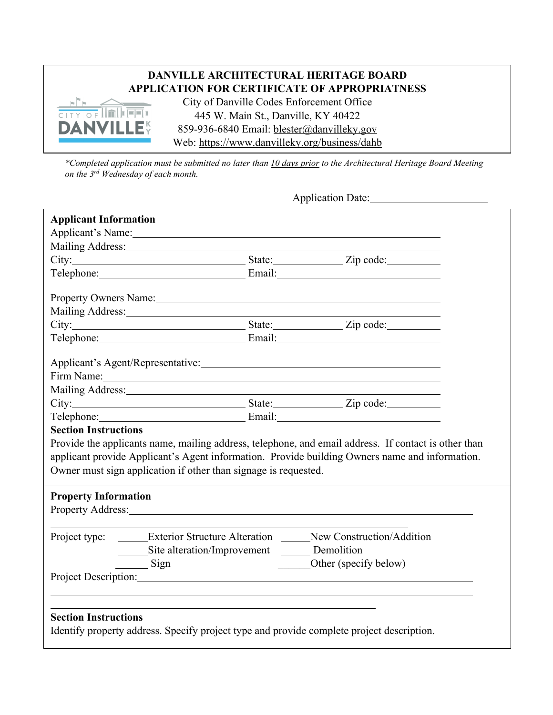## **DANVILLE ARCHITECTURAL HERITAGE BOARD APPLICATION FOR CERTIFICATE OF APPROPRIATNESS**



City of Danville Codes Enforcement Office 445 W. Main St., Danville, KY 40422 859-936-6840 Email: blester@danvilleky.gov Web: https://www.danvilleky.org/business/dahb

*\*Completed application must be submitted no later than 10 days prior to the Architectural Heritage Board Meeting on the 3rd Wednesday of each month.*

Application Date:

| <b>Applicant Information</b> |                                                                 |                                                                                                                                                                                                                                |  |
|------------------------------|-----------------------------------------------------------------|--------------------------------------------------------------------------------------------------------------------------------------------------------------------------------------------------------------------------------|--|
|                              |                                                                 | Applicant's Name: 1988                                                                                                                                                                                                         |  |
|                              |                                                                 |                                                                                                                                                                                                                                |  |
|                              |                                                                 | City: City: City: City: City: City: City: City: City: City: City: City: City: City: City: City: City: City: City: City: City: City: City: City: City: City: City: City: City: City: City: City: City: City: City: City: City:  |  |
|                              |                                                                 | Telephone: Email: Email:                                                                                                                                                                                                       |  |
|                              |                                                                 | Property Owners Name:                                                                                                                                                                                                          |  |
|                              |                                                                 | Mailing Address: Mailing Address: Mailing Address: Mailing Address: Mailing Address: Mailing Address: Mailing Address: Mailing Address: Mailing Address: Mailing Address: Mailing Address: Mailing Address: Mailing Address: M |  |
|                              |                                                                 |                                                                                                                                                                                                                                |  |
|                              |                                                                 | Telephone: Email: Email:                                                                                                                                                                                                       |  |
|                              |                                                                 | Applicant's Agent/Representative: 1998. The Contract of the Contract of the Contract of the Contract of the Contract of the Contract of the Contract of the Contract of the Contract of the Contract of the Contract of the Co |  |
|                              |                                                                 | Firm Name: No. 2014                                                                                                                                                                                                            |  |
|                              |                                                                 |                                                                                                                                                                                                                                |  |
|                              |                                                                 | City: City: City: City: City: City: City: City: City: City: City: City: City: City: City: City: City: City: City: City: City: City: City: City: City: City: City: City: City: City: City: City: City: City: City: City: City:  |  |
|                              |                                                                 | Telephone: Email: Email:                                                                                                                                                                                                       |  |
| <b>Section Instructions</b>  |                                                                 |                                                                                                                                                                                                                                |  |
|                              |                                                                 | Provide the applicants name, mailing address, telephone, and email address. If contact is other than                                                                                                                           |  |
|                              |                                                                 | applicant provide Applicant's Agent information. Provide building Owners name and information.                                                                                                                                 |  |
|                              | Owner must sign application if other than signage is requested. |                                                                                                                                                                                                                                |  |
|                              |                                                                 |                                                                                                                                                                                                                                |  |
| <b>Property Information</b>  |                                                                 |                                                                                                                                                                                                                                |  |
|                              |                                                                 | Property Address: No. 1996. The Second Second Second Second Second Second Second Second Second Second Second Second Second Second Second Second Second Second Second Second Second Second Second Second Second Second Second S |  |
|                              |                                                                 | Project type: ______Exterior Structure Alteration _____New Construction/Addition                                                                                                                                               |  |
|                              | Site alteration/Improvement _______ Demolition                  |                                                                                                                                                                                                                                |  |
|                              | $\frac{\text{Sign}}{\text{Sign}}$                               | Other (specify below)                                                                                                                                                                                                          |  |
|                              |                                                                 | Project Description: New York Changes and Security and Security and Security and Security and Security and Security and Security and Security and Security and Security and Security and Security and Security and Security an |  |
|                              |                                                                 |                                                                                                                                                                                                                                |  |
|                              |                                                                 |                                                                                                                                                                                                                                |  |
| <b>Section Instructions</b>  |                                                                 |                                                                                                                                                                                                                                |  |
|                              |                                                                 | Identify property address. Specify project type and provide complete project description.                                                                                                                                      |  |
|                              |                                                                 |                                                                                                                                                                                                                                |  |